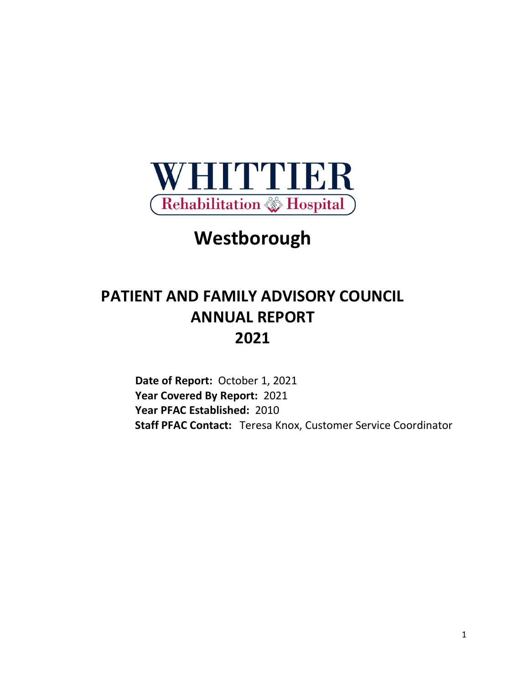

# **Westborough**

# **PATIENT AND FAMILY ADVISORY COUNCIL ANNUAL REPORT 2021**

**Date of Report:** October 1, 2021 **Year Covered By Report:** 2021 **Year PFAC Established:** 2010  **Staff PFAC Contact:** Teresa Knox, Customer Service Coordinator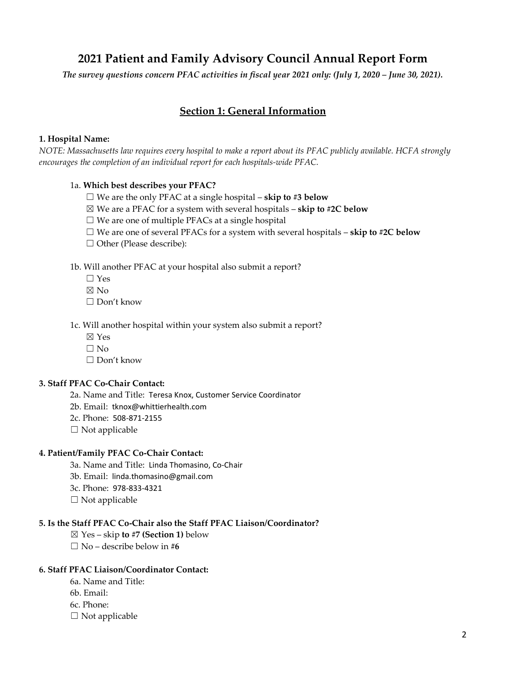# **2021 Patient and Family Advisory Council Annual Report Form**

*The survey questions concern PFAC activities in fiscal year 2021 only: (July 1, 2020 – June 30, 2021).*

# **Section 1: General Information**

#### **1. Hospital Name:**

*NOTE: Massachusetts law requires every hospital to make a report about its PFAC publicly available. HCFA strongly encourages the completion of an individual report for each hospitals-wide PFAC.*

#### 1a. **Which best describes your PFAC?**

- ☐ We are the only PFAC at a single hospital **skip to #3 below**
- ☒ We are a PFAC for a system with several hospitals **skip to #2C below**
- ☐ We are one of multiple PFACs at a single hospital
- $\Box$  We are one of several PFACs for a system with several hospitals **skip to #2C below**
- □ Other (Please describe):

1b. Will another PFAC at your hospital also submit a report?

- $\Box$  Yes
- $\nabla$  No
- ☐ Don't know

1c. Will another hospital within your system also submit a report?

- ☒ Yes
- $\Box$  No
- ☐ Don't know

#### **3. Staff PFAC Co-Chair Contact:**

- 2a. Name and Title: Teresa Knox, Customer Service Coordinator
- 2b. Email: tknox@whittierhealth.com
- 2c. Phone: 508-871-2155
- $\Box$  Not applicable

#### **4. Patient/Family PFAC Co-Chair Contact:**

- 3a. Name and Title: Linda Thomasino, Co-Chair
- 3b. Email: linda.thomasino@gmail.com
- 3c. Phone: 978-833-4321
- $\Box$  Not applicable

#### **5. Is the Staff PFAC Co-Chair also the Staff PFAC Liaison/Coordinator?**

- ☒ Yes skip **to #7 (Section 1)** below
- ☐ No describe below in **#6**

#### **6. Staff PFAC Liaison/Coordinator Contact:**

- 6a. Name and Title:
- 6b. Email:
- 6c. Phone:
- $\square$  Not applicable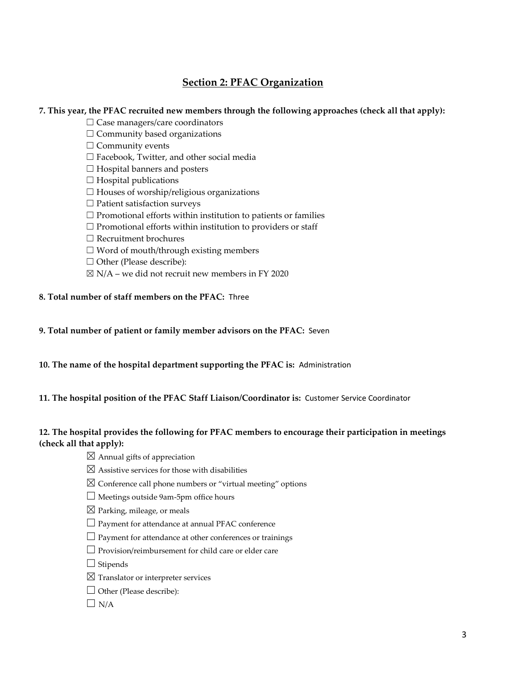# **Section 2: PFAC Organization**

#### **7. This year, the PFAC recruited new members through the following approaches (check all that apply):**

- □ Case managers/care coordinators
- $\Box$  Community based organizations
- $\Box$  Community events
- ☐ Facebook, Twitter, and other social media
- $\Box$  Hospital banners and posters
- $\Box$  Hospital publications
- $\Box$  Houses of worship/religious organizations
- ☐ Patient satisfaction surveys
- $\Box$  Promotional efforts within institution to patients or families
- $\Box$  Promotional efforts within institution to providers or staff
- ☐ Recruitment brochures
- $\Box$  Word of mouth/through existing members
- □ Other (Please describe):
- $\boxtimes$  N/A we did not recruit new members in FY 2020
- **8. Total number of staff members on the PFAC:** Three
- **9. Total number of patient or family member advisors on the PFAC:** Seven
- **10. The name of the hospital department supporting the PFAC is:** Administration
- **11. The hospital position of the PFAC Staff Liaison/Coordinator is:** Customer Service Coordinator

## **12. The hospital provides the following for PFAC members to encourage their participation in meetings (check all that apply):**

- $\boxtimes$  Annual gifts of appreciation
- $\boxtimes$  Assistive services for those with disabilities
- $\boxtimes$  Conference call phone numbers or "virtual meeting" options
- $\Box$  Meetings outside 9am-5pm office hours
- $\boxtimes$  Parking, mileage, or meals
- □ Payment for attendance at annual PFAC conference
- $\Box$  Payment for attendance at other conferences or trainings
- ☐ Provision/reimbursement for child care or elder care
- $\Box$  Stipends
- $\boxtimes$  Translator or interpreter services
- □ Other (Please describe):
- $\Box$  N/A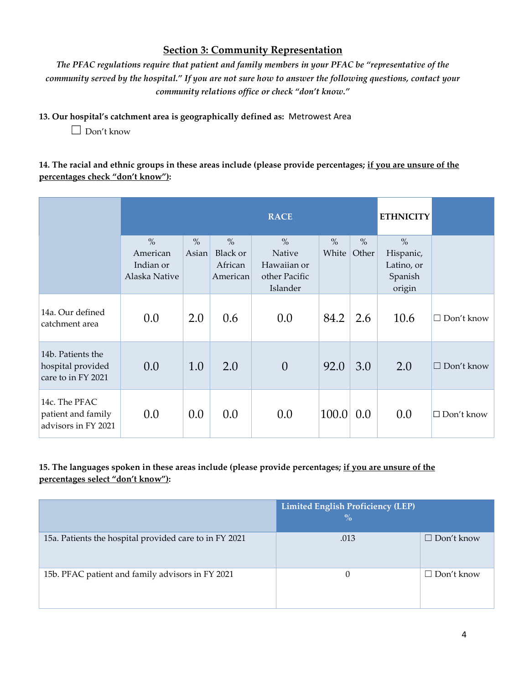# **Section 3: Community Representation**

*The PFAC regulations require that patient and family members in your PFAC be "representative of the community served by the hospital." If you are not sure how to answer the following questions, contact your community relations office or check "don't know."*

## **13. Our hospital's catchment area is geographically defined as:** Metrowest Area

 $\Box$  Don't know

## **14. The racial and ethnic groups in these areas include (please provide percentages; if you are unsure of the percentages check "don't know"):**

|                                                              |                                                         |                        |                                         | <b>RACE</b>                                                         |               |                        | <b>ETHNICITY</b>                                              |                      |
|--------------------------------------------------------------|---------------------------------------------------------|------------------------|-----------------------------------------|---------------------------------------------------------------------|---------------|------------------------|---------------------------------------------------------------|----------------------|
|                                                              | $\frac{0}{0}$<br>American<br>Indian or<br>Alaska Native | $\frac{0}{0}$<br>Asian | $\%$<br>Black or<br>African<br>American | $\frac{0}{0}$<br>Native<br>Hawaiian or<br>other Pacific<br>Islander | $\%$<br>White | $\frac{0}{0}$<br>Other | $\frac{0}{0}$<br>Hispanic,<br>Latino, or<br>Spanish<br>origin |                      |
| 14a. Our defined<br>catchment area                           | 0.0                                                     | 2.0                    | 0.6                                     | 0.0                                                                 | 84.2          | 2.6                    | 10.6                                                          | Don't know<br>П      |
| 14b. Patients the<br>hospital provided<br>care to in FY 2021 | 0.0                                                     | 1.0                    | 2.0                                     | $\overline{0}$                                                      | 92.0          | 3.0                    | 2.0                                                           | $\Box$<br>Don't know |
| 14c. The PFAC<br>patient and family<br>advisors in FY 2021   | 0.0                                                     | 0.0                    | 0.0                                     | 0.0                                                                 | 100.0         | 0.0                    | 0.0                                                           | $\Box$ Don't know    |

# **15. The languages spoken in these areas include (please provide percentages; if you are unsure of the percentages select "don't know"):**

|                                                        | <b>Limited English Proficiency (LEP)</b><br>$\frac{0}{0}$ |                   |
|--------------------------------------------------------|-----------------------------------------------------------|-------------------|
| 15a. Patients the hospital provided care to in FY 2021 | .013                                                      | $\Box$ Don't know |
| 15b. PFAC patient and family advisors in FY 2021       | $\Omega$                                                  | $\Box$ Don't know |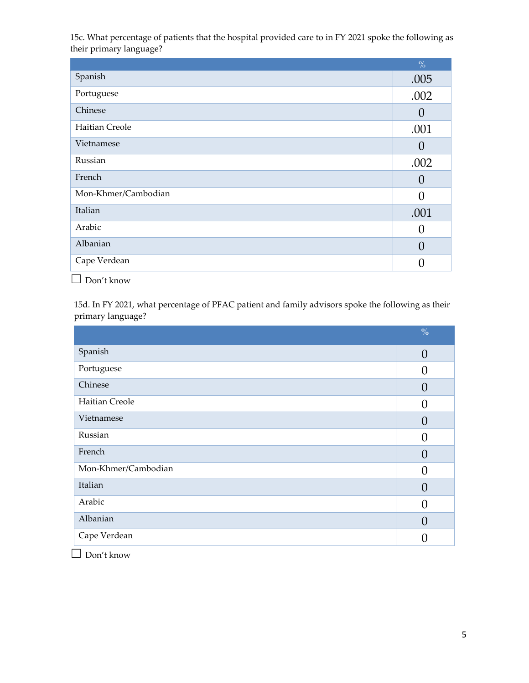15c. What percentage of patients that the hospital provided care to in FY 2021 spoke the following as their primary language?

|                     | $\frac{0}{0}$ |
|---------------------|---------------|
| Spanish             | .005          |
| Portuguese          | .002          |
| Chinese             | 0             |
| Haitian Creole      | .001          |
| Vietnamese          | O             |
| Russian             | .002          |
| French              | O             |
| Mon-Khmer/Cambodian | 0             |
| Italian             | .001          |
| Arabic              | U             |
| Albanian            |               |
| Cape Verdean        |               |
|                     |               |

☐ Don't know

15d. In FY 2021, what percentage of PFAC patient and family advisors spoke the following as their primary language?

|                     | $\frac{0}{0}$  |
|---------------------|----------------|
| Spanish             | $\overline{0}$ |
| Portuguese          | $\Omega$       |
| Chinese             | $\theta$       |
| Haitian Creole      | $\Omega$       |
| Vietnamese          | $\Omega$       |
| Russian             | $\bigcap$      |
| French              | $\Omega$       |
| Mon-Khmer/Cambodian | $\Omega$       |
| Italian             | $\Omega$       |
| Arabic              | $\Omega$       |
| Albanian            | $\theta$       |
| Cape Verdean        | $\bigcap$      |

☐ Don't know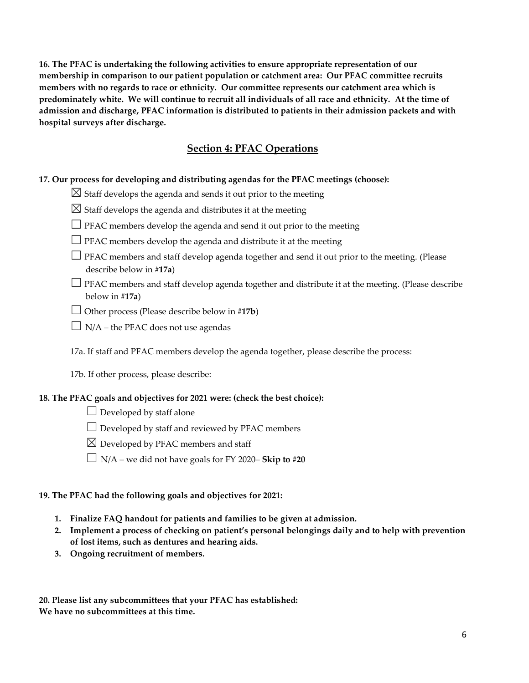**16. The PFAC is undertaking the following activities to ensure appropriate representation of our membership in comparison to our patient population or catchment area: Our PFAC committee recruits members with no regards to race or ethnicity. Our committee represents our catchment area which is predominately white. We will continue to recruit all individuals of all race and ethnicity. At the time of admission and discharge, PFAC information is distributed to patients in their admission packets and with hospital surveys after discharge.** 

# **Section 4: PFAC Operations**

#### **17. Our process for developing and distributing agendas for the PFAC meetings (choose):**

 $\boxtimes$  Staff develops the agenda and sends it out prior to the meeting

- $\boxtimes$  Staff develops the agenda and distributes it at the meeting
- $\Box$  PFAC members develop the agenda and send it out prior to the meeting
- $\Box$  PFAC members develop the agenda and distribute it at the meeting
- □ PFAC members and staff develop agenda together and send it out prior to the meeting. (Please describe below in **#17a**)
- $\Box$  PFAC members and staff develop agenda together and distribute it at the meeting. (Please describe below in #**17a**)
- $\Box$  Other process (Please describe below in #17**b**)
- $\Box$  N/A the PFAC does not use agendas

17a. If staff and PFAC members develop the agenda together, please describe the process:

17b. If other process, please describe:

#### **18. The PFAC goals and objectives for 2021 were: (check the best choice):**

- $\Box$  Developed by staff alone
- $\Box$  Developed by staff and reviewed by PFAC members
- $\boxtimes$  Developed by PFAC members and staff
- ☐ N/A we did not have goals for FY 2020– **Skip to #20**

#### **19. The PFAC had the following goals and objectives for 2021:**

- **1. Finalize FAQ handout for patients and families to be given at admission.**
- **2. Implement a process of checking on patient's personal belongings daily and to help with prevention of lost items, such as dentures and hearing aids.**
- **3. Ongoing recruitment of members.**

**20. Please list any subcommittees that your PFAC has established: We have no subcommittees at this time.**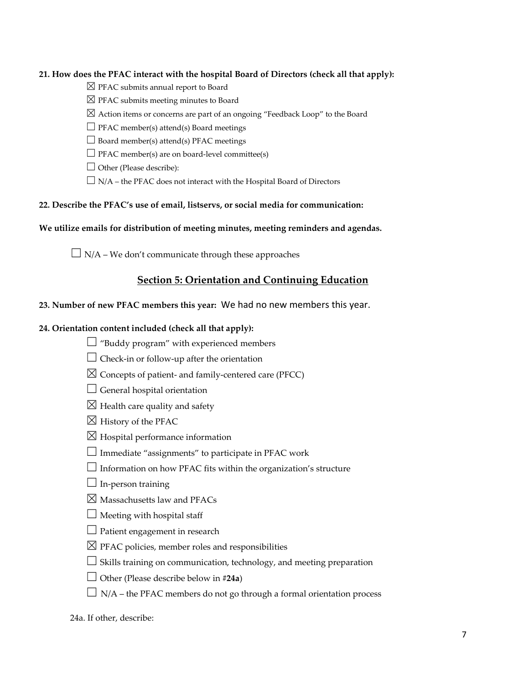#### **21. How does the PFAC interact with the hospital Board of Directors (check all that apply):**

- $\boxtimes$  PFAC submits annual report to Board
- $\boxtimes$  PFAC submits meeting minutes to Board
- $\boxtimes$  Action items or concerns are part of an ongoing "Feedback Loop" to the Board
- $\Box$  PFAC member(s) attend(s) Board meetings
- $\Box$  Board member(s) attend(s) PFAC meetings
- $\Box$  PFAC member(s) are on board-level committee(s)
- $\Box$  Other (Please describe):
- $\Box$  N/A the PFAC does not interact with the Hospital Board of Directors

## **22. Describe the PFAC's use of email, listservs, or social media for communication:**

#### **We utilize emails for distribution of meeting minutes, meeting reminders and agendas.**

 $\Box$  N/A – We don't communicate through these approaches

# **Section 5: Orientation and Continuing Education**

#### **23. Number of new PFAC members this year:** We had no new members this year.

#### **24. Orientation content included (check all that apply):**

- $\Box$  "Buddy program" with experienced members
- $\Box$  Check-in or follow-up after the orientation
- $\boxtimes$  Concepts of patient- and family-centered care (PFCC)
- $\Box$  General hospital orientation
- $\boxtimes$  Health care quality and safety
- $\boxtimes$  History of the PFAC
- $\boxtimes$  Hospital performance information
- $\Box$  Immediate "assignments" to participate in PFAC work
- $\Box$  Information on how PFAC fits within the organization's structure
- $\Box$  In-person training
- $\boxtimes$  Massachusetts law and PFACs
- $\Box$  Meeting with hospital staff
- $\Box$  Patient engagement in research
- $\boxtimes$  PFAC policies, member roles and responsibilities
- $\Box$  Skills training on communication, technology, and meeting preparation
- ☐ Other (Please describe below in #**24a**)
- $\Box$  N/A the PFAC members do not go through a formal orientation process

24a. If other, describe: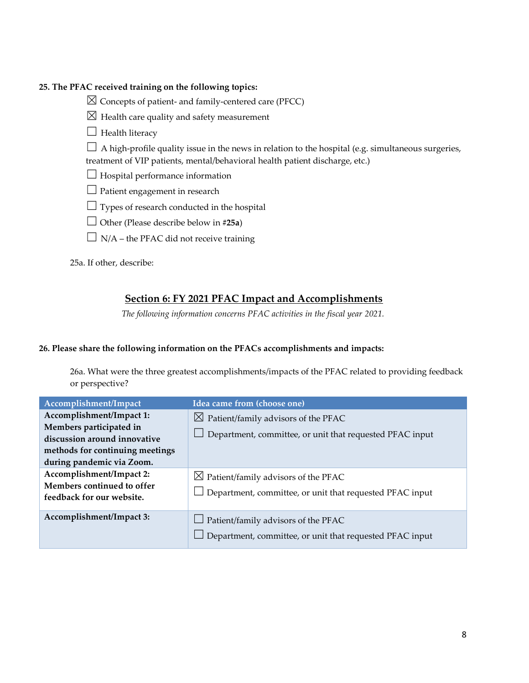#### **25. The PFAC received training on the following topics:**

- $\boxtimes$  Concepts of patient- and family-centered care (PFCC)
- $\boxtimes$  Health care quality and safety measurement
- $\Box$  Health literacy

 $\Box$  A high-profile quality issue in the news in relation to the hospital (e.g. simultaneous surgeries, treatment of VIP patients, mental/behavioral health patient discharge, etc.)

- $\Box$  Hospital performance information
- $\Box$  Patient engagement in research
- $\Box$  Types of research conducted in the hospital
- ☐ Other (Please describe below in **#25a**)
- $\Box$  N/A the PFAC did not receive training

25a. If other, describe:

# **Section 6: FY 2021 PFAC Impact and Accomplishments**

*The following information concerns PFAC activities in the fiscal year 2021.*

#### **26. Please share the following information on the PFACs accomplishments and impacts:**

26a. What were the three greatest accomplishments/impacts of the PFAC related to providing feedback or perspective?

| Accomplishment/Impact                                                                                                                               | Idea came from (choose one)                                                                                 |
|-----------------------------------------------------------------------------------------------------------------------------------------------------|-------------------------------------------------------------------------------------------------------------|
| Accomplishment/Impact 1:<br>Members participated in<br>discussion around innovative<br>methods for continuing meetings<br>during pandemic via Zoom. | $\boxtimes$ Patient/family advisors of the PFAC<br>Department, committee, or unit that requested PFAC input |
| Accomplishment/Impact 2:<br>Members continued to offer<br>feedback for our website.                                                                 | $\boxtimes$ Patient/family advisors of the PFAC<br>Department, committee, or unit that requested PFAC input |
| Accomplishment/Impact 3:                                                                                                                            | $\Box$ Patient/family advisors of the PFAC<br>Department, committee, or unit that requested PFAC input      |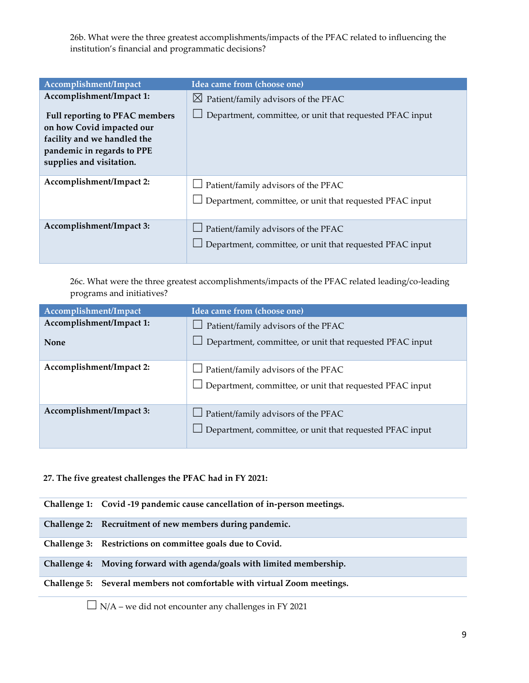26b. What were the three greatest accomplishments/impacts of the PFAC related to influencing the institution's financial and programmatic decisions?

| Accomplishment/Impact                                                                                                                                                            | Idea came from (choose one)                                                                                   |
|----------------------------------------------------------------------------------------------------------------------------------------------------------------------------------|---------------------------------------------------------------------------------------------------------------|
| Accomplishment/Impact 1:<br>Full reporting to PFAC members<br>on how Covid impacted our<br>facility and we handled the<br>pandemic in regards to PPE<br>supplies and visitation. | $\boxtimes$ Patient/family advisors of the PFAC<br>Department, committee, or unit that requested PFAC input   |
| Accomplishment/Impact 2:                                                                                                                                                         | Patient/family advisors of the PFAC<br>Department, committee, or unit that requested PFAC input               |
| Accomplishment/Impact 3:                                                                                                                                                         | $\Box$ Patient/family advisors of the PFAC<br>$\Box$ Department, committee, or unit that requested PFAC input |

26c. What were the three greatest accomplishments/impacts of the PFAC related leading/co-leading programs and initiatives?

| Accomplishment/Impact    | Idea came from (choose one)                                                                                   |
|--------------------------|---------------------------------------------------------------------------------------------------------------|
| Accomplishment/Impact 1: | $\Box$ Patient/family advisors of the PFAC                                                                    |
| <b>None</b>              | Department, committee, or unit that requested PFAC input                                                      |
| Accomplishment/Impact 2: | $\Box$ Patient/family advisors of the PFAC<br>$\Box$ Department, committee, or unit that requested PFAC input |
| Accomplishment/Impact 3: | $\Box$ Patient/family advisors of the PFAC<br>$\Box$ Department, committee, or unit that requested PFAC input |

#### **27. The five greatest challenges the PFAC had in FY 2021:**

**Challenge 1: Covid -19 pandemic cause cancellation of in-person meetings.**

**Challenge 2: Recruitment of new members during pandemic.**

**Challenge 3: Restrictions on committee goals due to Covid.**

**Challenge 4: Moving forward with agenda/goals with limited membership.**

#### **Challenge 5: Several members not comfortable with virtual Zoom meetings.**

 $\Box$  N/A – we did not encounter any challenges in FY 2021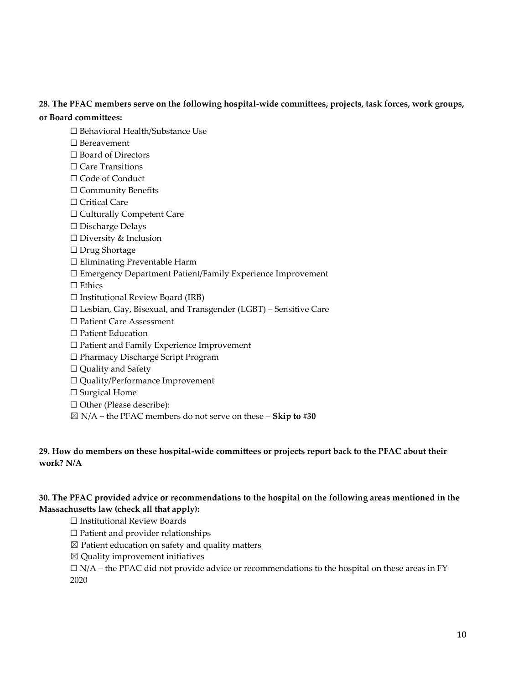#### **28. The PFAC members serve on the following hospital-wide committees, projects, task forces, work groups,**

#### **or Board committees:**

- ☐ Behavioral Health/Substance Use
- ☐ Bereavement
- ☐ Board of Directors
- ☐ Care Transitions
- □ Code of Conduct
- ☐ Community Benefits
- □ Critical Care
- ☐ Culturally Competent Care
- ☐ Discharge Delays
- ☐ Diversity & Inclusion
- ☐ Drug Shortage
- ☐ Eliminating Preventable Harm
- ☐ Emergency Department Patient/Family Experience Improvement
- □ Ethics
- $\Box$  Institutional Review Board (IRB)
- ☐ Lesbian, Gay, Bisexual, and Transgender (LGBT) Sensitive Care
- ☐ Patient Care Assessment
- ☐ Patient Education
- ☐ Patient and Family Experience Improvement
- ☐ Pharmacy Discharge Script Program
- ☐ Quality and Safety
- ☐ Quality/Performance Improvement
- □ Surgical Home
- □ Other (Please describe):
- ☒ N/A **–** the PFAC members do not serve on these **Skip to #30**

#### **29. How do members on these hospital-wide committees or projects report back to the PFAC about their work? N/A**

#### **30. The PFAC provided advice or recommendations to the hospital on the following areas mentioned in the Massachusetts law (check all that apply):**

- ☐ Institutional Review Boards
- ☐ Patient and provider relationships
- $\boxtimes$  Patient education on safety and quality matters
- $\boxtimes$  Quality improvement initiatives
- $\Box$  N/A the PFAC did not provide advice or recommendations to the hospital on these areas in FY 2020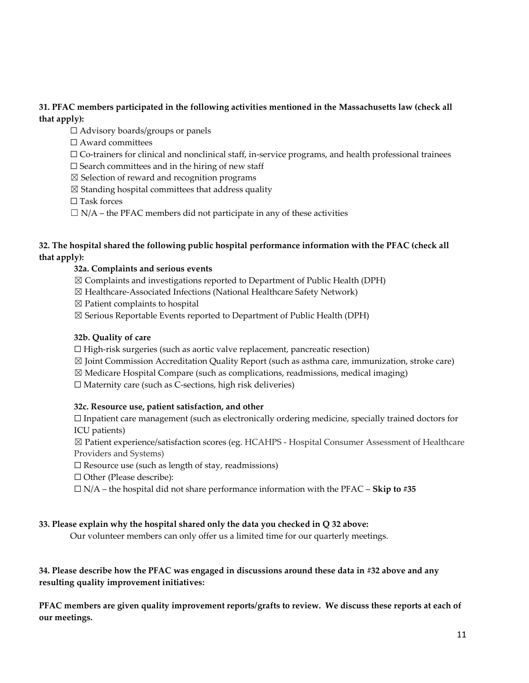## **31. PFAC members participated in the following activities mentioned in the Massachusetts law (check all that apply):**

 $\Box$  Advisory boards/groups or panels

☐ Award committees

 $\Box$  Co-trainers for clinical and nonclinical staff, in-service programs, and health professional trainees

 $\square$  Search committees and in the hiring of new staff

- $\boxtimes$  Selection of reward and recognition programs
- $\boxtimes$  Standing hospital committees that address quality

□ Task forces

 $\Box$  N/A – the PFAC members did not participate in any of these activities

#### **32. The hospital shared the following public hospital performance information with the PFAC (check all that apply):**

#### **32a. Complaints and serious events**

- ☒ Complaints and investigations reported to Department of Public Health (DPH)
- ☒ Healthcare-Associated Infections (National Healthcare Safety Network)
- $\boxtimes$  Patient complaints to hospital
- ☒ Serious Reportable Events reported to Department of Public Health (DPH)

#### **32b. Quality of care**

- $\Box$  High-risk surgeries (such as aortic valve replacement, pancreatic resection)
- $\boxtimes$  Joint Commission Accreditation Quality Report (such as asthma care, immunization, stroke care)
- $\boxtimes$  Medicare Hospital Compare (such as complications, readmissions, medical imaging)

☐ Maternity care (such as C-sections, high risk deliveries)

#### **32c. Resource use, patient satisfaction, and other**

 $\Box$  Inpatient care management (such as electronically ordering medicine, specially trained doctors for ICU patients)

☒ Patient experience/satisfaction scores (eg. HCAHPS - Hospital Consumer Assessment of Healthcare Providers and Systems)

 $\Box$  Resource use (such as length of stay, readmissions)

☐ Other (Please describe):

☐ N/A – the hospital did not share performance information with the PFAC – **Skip to #35**

#### **33. Please explain why the hospital shared only the data you checked in Q 32 above:**

Our volunteer members can only offer us a limited time for our quarterly meetings.

## **34. Please describe how the PFAC was engaged in discussions around these data in #32 above and any resulting quality improvement initiatives:**

**PFAC members are given quality improvement reports/grafts to review. We discuss these reports at each of our meetings.**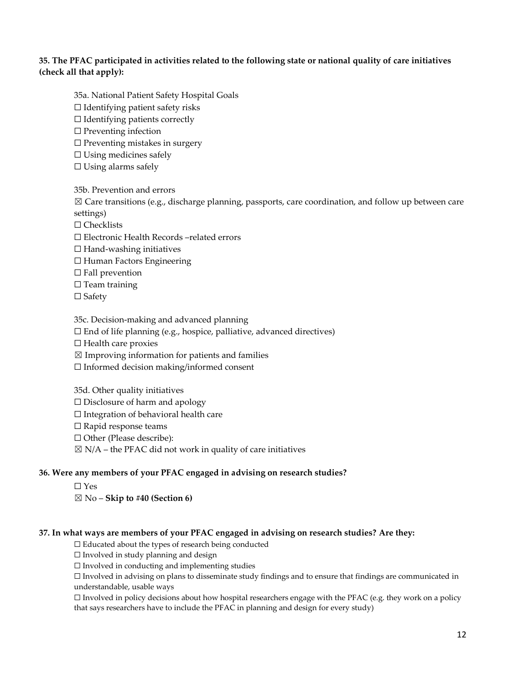#### **35. The PFAC participated in activities related to the following state or national quality of care initiatives (check all that apply):**

- 35a. National Patient Safety Hospital Goals  $\Box$  Identifying patient safety risks  $\Box$  Identifying patients correctly  $\Box$  Preventing infection  $\Box$  Preventing mistakes in surgery
- 
- $\Box$  Using medicines safely
- $\Box$  Using alarms safely

35b. Prevention and errors  $\boxtimes$  Care transitions (e.g., discharge planning, passports, care coordination, and follow up between care settings)

☐ Checklists

☐ Electronic Health Records –related errors

- $\Box$  Hand-washing initiatives
- ☐ Human Factors Engineering
- $\Box$  Fall prevention
- □ Team training
- □ Safety

35c. Decision-making and advanced planning

 $\Box$  End of life planning (e.g., hospice, palliative, advanced directives)

☐ Health care proxies

 $\boxtimes$  Improving information for patients and families

☐ Informed decision making/informed consent

35d. Other quality initiatives  $\Box$  Disclosure of harm and apology  $\Box$  Integration of behavioral health care ☐ Rapid response teams ☐ Other (Please describe):  $\boxtimes$  N/A – the PFAC did not work in quality of care initiatives

#### **36. Were any members of your PFAC engaged in advising on research studies?**

☐ Yes ☒ No – **Skip to #40 (Section 6)**

#### **37. In what ways are members of your PFAC engaged in advising on research studies? Are they:**

☐ Educated about the types of research being conducted

☐ Involved in study planning and design

 $\Box$  Involved in conducting and implementing studies

☐ Involved in advising on plans to disseminate study findings and to ensure that findings are communicated in understandable, usable ways

 $\Box$  Involved in policy decisions about how hospital researchers engage with the PFAC (e.g. they work on a policy that says researchers have to include the PFAC in planning and design for every study)